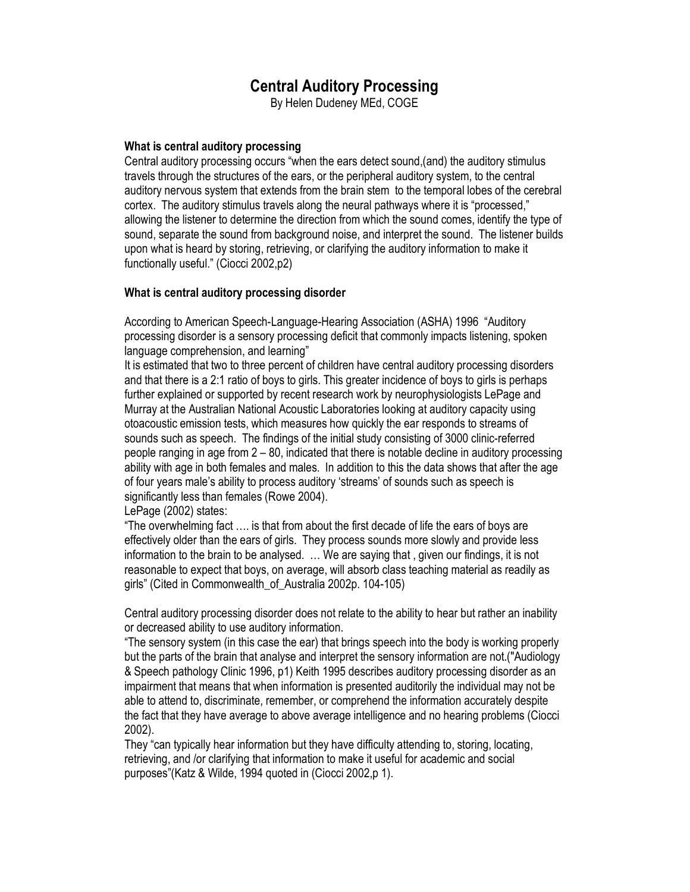# Central Auditory Processing

By Helen Dudeney MEd, COGE

## What is central auditory processing

Central auditory processing occurs "when the ears detect sound,(and) the auditory stimulus travels through the structures of the ears, or the peripheral auditory system, to the central auditory nervous system that extends from the brain stem to the temporal lobes of the cerebral cortex. The auditory stimulus travels along the neural pathways where it is "processed," allowing the listener to determine the direction from which the sound comes, identify the type of sound, separate the sound from background noise, and interpret the sound. The listener builds upon what is heard by storing, retrieving, or clarifying the auditory information to make it functionally useful." (Ciocci 2002,p2)

## What is central auditory processing disorder

According to American Speech-Language-Hearing Association (ASHA) 1996 "Auditory processing disorder is a sensory processing deficit that commonly impacts listening, spoken language comprehension, and learning"

It is estimated that two to three percent of children have central auditory processing disorders and that there is a 2:1 ratio of boys to girls. This greater incidence of boys to girls is perhaps further explained or supported by recent research work by neurophysiologists LePage and Murray at the Australian National Acoustic Laboratories looking at auditory capacity using otoacoustic emission tests, which measures how quickly the ear responds to streams of sounds such as speech. The findings of the initial study consisting of 3000 clinic-referred people ranging in age from 2 – 80, indicated that there is notable decline in auditory processing ability with age in both females and males. In addition to this the data shows that after the age of four years male's ability to process auditory 'streams' of sounds such as speech is significantly less than females (Rowe 2004).

## LePage (2002) states:

"The overwhelming fact …. is that from about the first decade of life the ears of boys are effectively older than the ears of girls. They process sounds more slowly and provide less information to the brain to be analysed. … We are saying that , given our findings, it is not reasonable to expect that boys, on average, will absorb class teaching material as readily as girls" (Cited in Commonwealth\_of\_Australia 2002p. 104-105)

Central auditory processing disorder does not relate to the ability to hear but rather an inability or decreased ability to use auditory information.

"The sensory system (in this case the ear) that brings speech into the body is working properly but the parts of the brain that analyse and interpret the sensory information are not.("Audiology & Speech pathology Clinic 1996, p1) Keith 1995 describes auditory processing disorder as an impairment that means that when information is presented auditorily the individual may not be able to attend to, discriminate, remember, or comprehend the information accurately despite the fact that they have average to above average intelligence and no hearing problems (Ciocci 2002).

They "can typically hear information but they have difficulty attending to, storing, locating, retrieving, and /or clarifying that information to make it useful for academic and social purposes"(Katz & Wilde, 1994 quoted in (Ciocci 2002,p 1).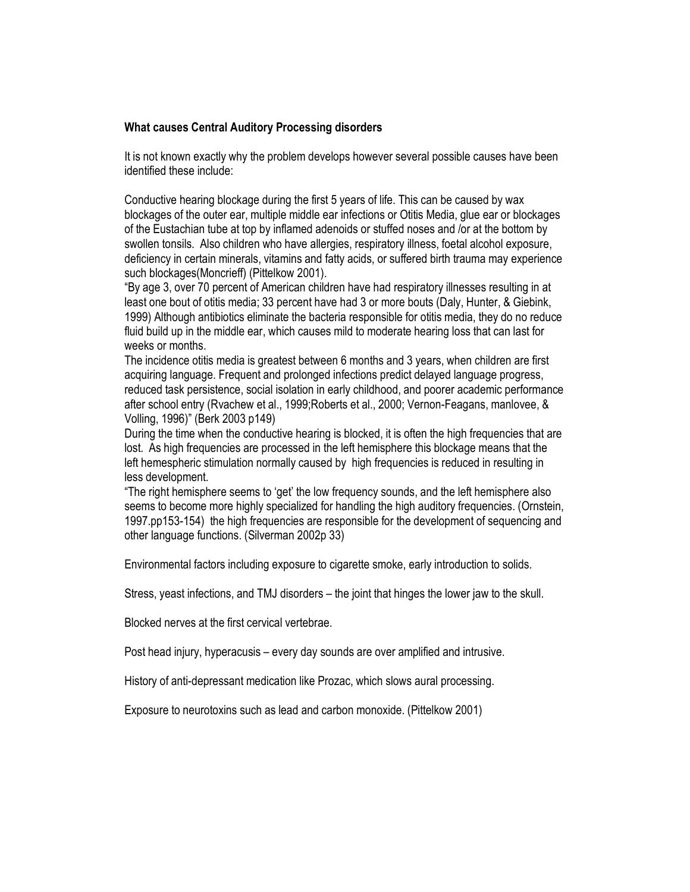## What causes Central Auditory Processing disorders

It is not known exactly why the problem develops however several possible causes have been identified these include:

Conductive hearing blockage during the first 5 years of life. This can be caused by wax blockages of the outer ear, multiple middle ear infections or Otitis Media, glue ear or blockages of the Eustachian tube at top by inflamed adenoids or stuffed noses and /or at the bottom by swollen tonsils. Also children who have allergies, respiratory illness, foetal alcohol exposure, deficiency in certain minerals, vitamins and fatty acids, or suffered birth trauma may experience such blockages(Moncrieff) (Pittelkow 2001).

"By age 3, over 70 percent of American children have had respiratory illnesses resulting in at least one bout of otitis media; 33 percent have had 3 or more bouts (Daly, Hunter, & Giebink, 1999) Although antibiotics eliminate the bacteria responsible for otitis media, they do no reduce fluid build up in the middle ear, which causes mild to moderate hearing loss that can last for weeks or months.

The incidence otitis media is greatest between 6 months and 3 years, when children are first acquiring language. Frequent and prolonged infections predict delayed language progress, reduced task persistence, social isolation in early childhood, and poorer academic performance after school entry (Rvachew et al., 1999;Roberts et al., 2000; Vernon-Feagans, manlovee, & Volling, 1996)" (Berk 2003 p149)

During the time when the conductive hearing is blocked, it is often the high frequencies that are lost. As high frequencies are processed in the left hemisphere this blockage means that the left hemespheric stimulation normally caused by high frequencies is reduced in resulting in less development.

"The right hemisphere seems to 'get' the low frequency sounds, and the left hemisphere also seems to become more highly specialized for handling the high auditory frequencies. (Ornstein, 1997.pp153-154) the high frequencies are responsible for the development of sequencing and other language functions. (Silverman 2002p 33)

Environmental factors including exposure to cigarette smoke, early introduction to solids.

Stress, yeast infections, and TMJ disorders – the joint that hinges the lower jaw to the skull.

Blocked nerves at the first cervical vertebrae.

Post head injury, hyperacusis – every day sounds are over amplified and intrusive.

History of anti-depressant medication like Prozac, which slows aural processing.

Exposure to neurotoxins such as lead and carbon monoxide. (Pittelkow 2001)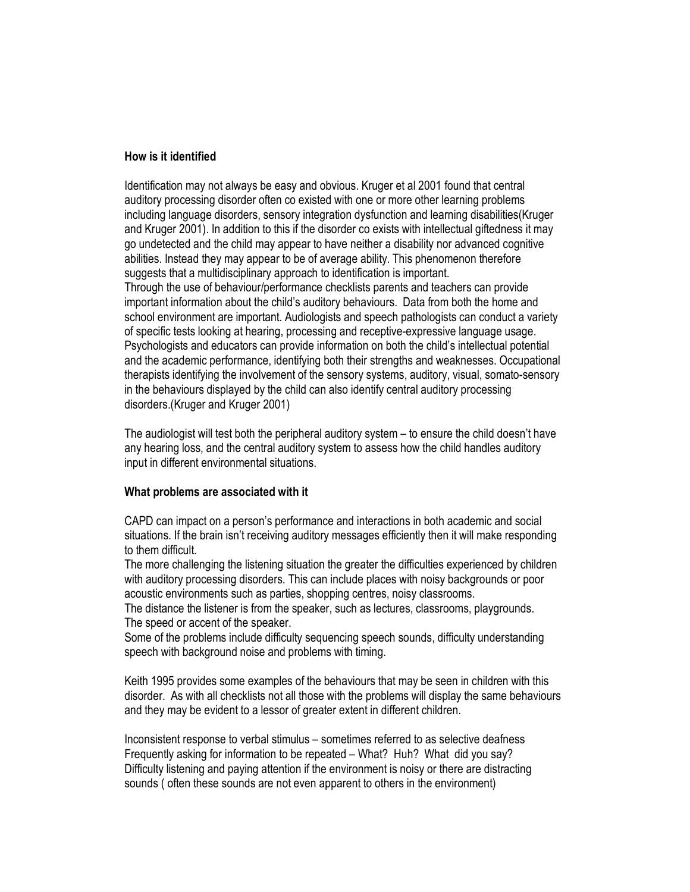### How is it identified

Identification may not always be easy and obvious. Kruger et al 2001 found that central auditory processing disorder often co existed with one or more other learning problems including language disorders, sensory integration dysfunction and learning disabilities(Kruger and Kruger 2001). In addition to this if the disorder co exists with intellectual giftedness it may go undetected and the child may appear to have neither a disability nor advanced cognitive abilities. Instead they may appear to be of average ability. This phenomenon therefore suggests that a multidisciplinary approach to identification is important. Through the use of behaviour/performance checklists parents and teachers can provide important information about the child's auditory behaviours. Data from both the home and school environment are important. Audiologists and speech pathologists can conduct a variety of specific tests looking at hearing, processing and receptive-expressive language usage. Psychologists and educators can provide information on both the child's intellectual potential and the academic performance, identifying both their strengths and weaknesses. Occupational therapists identifying the involvement of the sensory systems, auditory, visual, somato-sensory in the behaviours displayed by the child can also identify central auditory processing disorders.(Kruger and Kruger 2001)

The audiologist will test both the peripheral auditory system – to ensure the child doesn't have any hearing loss, and the central auditory system to assess how the child handles auditory input in different environmental situations.

## What problems are associated with it

CAPD can impact on a person's performance and interactions in both academic and social situations. If the brain isn't receiving auditory messages efficiently then it will make responding to them difficult.

The more challenging the listening situation the greater the difficulties experienced by children with auditory processing disorders. This can include places with noisy backgrounds or poor acoustic environments such as parties, shopping centres, noisy classrooms.

The distance the listener is from the speaker, such as lectures, classrooms, playgrounds. The speed or accent of the speaker.

Some of the problems include difficulty sequencing speech sounds, difficulty understanding speech with background noise and problems with timing.

Keith 1995 provides some examples of the behaviours that may be seen in children with this disorder. As with all checklists not all those with the problems will display the same behaviours and they may be evident to a lessor of greater extent in different children.

Inconsistent response to verbal stimulus – sometimes referred to as selective deafness Frequently asking for information to be repeated – What? Huh? What did you say? Difficulty listening and paying attention if the environment is noisy or there are distracting sounds ( often these sounds are not even apparent to others in the environment)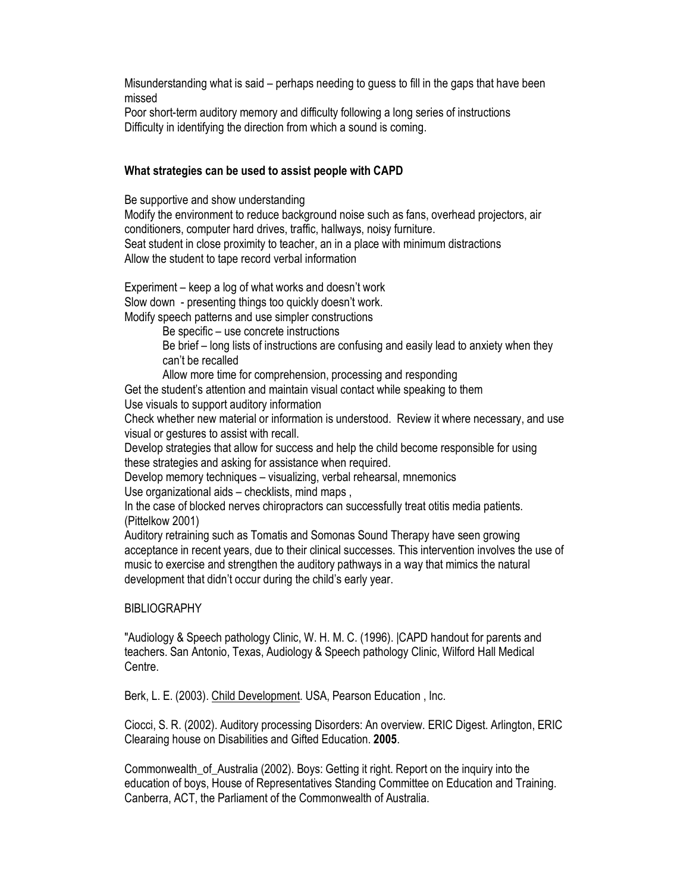Misunderstanding what is said – perhaps needing to guess to fill in the gaps that have been missed

Poor short-term auditory memory and difficulty following a long series of instructions Difficulty in identifying the direction from which a sound is coming.

## What strategies can be used to assist people with CAPD

Be supportive and show understanding Modify the environment to reduce background noise such as fans, overhead projectors, air conditioners, computer hard drives, traffic, hallways, noisy furniture. Seat student in close proximity to teacher, an in a place with minimum distractions Allow the student to tape record verbal information

Experiment – keep a log of what works and doesn't work Slow down - presenting things too quickly doesn't work. Modify speech patterns and use simpler constructions

Be specific – use concrete instructions

Be brief – long lists of instructions are confusing and easily lead to anxiety when they can't be recalled

Allow more time for comprehension, processing and responding

Get the student's attention and maintain visual contact while speaking to them Use visuals to support auditory information

Check whether new material or information is understood. Review it where necessary, and use visual or gestures to assist with recall.

Develop strategies that allow for success and help the child become responsible for using these strategies and asking for assistance when required.

Develop memory techniques – visualizing, verbal rehearsal, mnemonics

Use organizational aids – checklists, mind maps ,

In the case of blocked nerves chiropractors can successfully treat otitis media patients. (Pittelkow 2001)

Auditory retraining such as Tomatis and Somonas Sound Therapy have seen growing acceptance in recent years, due to their clinical successes. This intervention involves the use of music to exercise and strengthen the auditory pathways in a way that mimics the natural development that didn't occur during the child's early year.

## **BIBLIOGRAPHY**

"Audiology & Speech pathology Clinic, W. H. M. C. (1996). |CAPD handout for parents and teachers. San Antonio, Texas, Audiology & Speech pathology Clinic, Wilford Hall Medical Centre.

Berk, L. E. (2003). Child Development. USA, Pearson Education , Inc.

Ciocci, S. R. (2002). Auditory processing Disorders: An overview. ERIC Digest. Arlington, ERIC Clearaing house on Disabilities and Gifted Education. 2005.

Commonwealth of Australia (2002). Boys: Getting it right. Report on the inquiry into the education of boys, House of Representatives Standing Committee on Education and Training. Canberra, ACT, the Parliament of the Commonwealth of Australia.